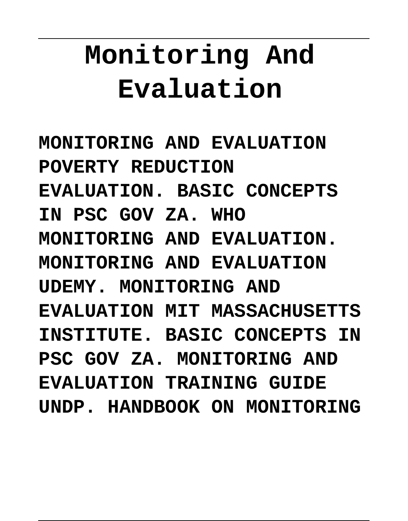# **Monitoring And Evaluation**

**MONITORING AND EVALUATION POVERTY REDUCTION EVALUATION. BASIC CONCEPTS IN PSC GOV ZA. WHO MONITORING AND EVALUATION. MONITORING AND EVALUATION UDEMY. MONITORING AND EVALUATION MIT MASSACHUSETTS INSTITUTE. BASIC CONCEPTS IN PSC GOV ZA. MONITORING AND EVALUATION TRAINING GUIDE UNDP. HANDBOOK ON MONITORING**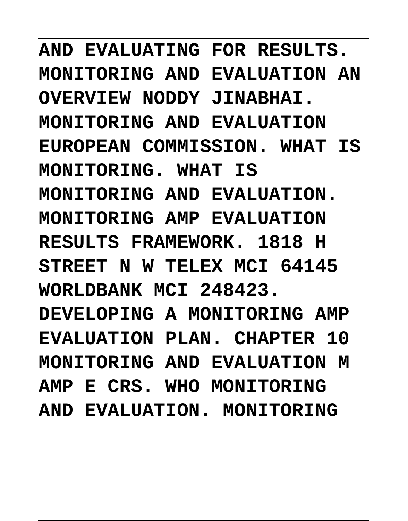AND EVALUATING FOR RESULTS. **MONITORING AND EVALUATION AN OVERVIEW NODDY JINABHAI. MONITORING AND EVALUATION EUROPEAN COMMISSION. WHAT IS MONITORING. WHAT IS** MONITORING AND EVALUATION. **MONITORING AMP EVALUATION RESULTS FRAMEWORK. 1818 H STREET N W TELEX MCI 64145 WORLDBANK MCI 248423. DEVELOPING A MONITORING AMP EVALUATION PLAN. CHAPTER 10 MONITORING AND EVALUATION M AMP E CRS. WHO MONITORING AND EVALUATION. MONITORING**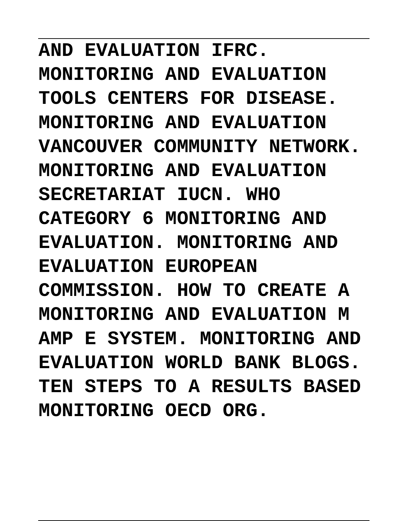**AND EVALUATION IFRC. MONITORING AND EVALUATION TOOLS CENTERS FOR DISEASE. MONITORING AND EVALUATION VANCOUVER COMMUNITY NETWORK. MONITORING AND EVALUATION SECRETARIAT IUCN. WHO CATEGORY 6 MONITORING AND EVALUATION. MONITORING AND EVALUATION EUROPEAN COMMISSION. HOW TO CREATE A MONITORING AND EVALUATION M AMP E SYSTEM. MONITORING AND EVALUATION WORLD BANK BLOGS. TEN STEPS TO A RESULTS BASED MONITORING OECD ORG.**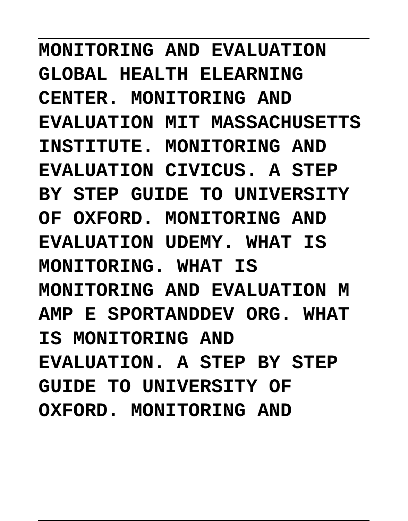**MONITORING AND EVALUATION GLOBAL HEALTH ELEARNING CENTER. MONITORING AND EVALUATION MIT MASSACHUSETTS INSTITUTE. MONITORING AND EVALUATION CIVICUS. A STEP BY STEP GUIDE TO UNIVERSITY OF OXFORD. MONITORING AND EVALUATION UDEMY. WHAT IS MONITORING. WHAT IS MONITORING AND EVALUATION M AMP E SPORTANDDEV ORG. WHAT IS MONITORING AND EVALUATION. A STEP BY STEP GUIDE TO UNIVERSITY OF OXFORD. MONITORING AND**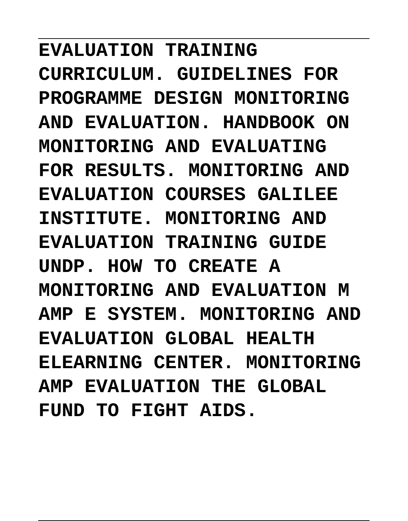**EVALUATION TRAINING CURRICULUM. GUIDELINES FOR PROGRAMME DESIGN MONITORING AND EVALUATION. HANDBOOK ON MONITORING AND EVALUATING** FOR RESULTS. MONITORING AND **EVALUATION COURSES GALILEE INSTITUTE. MONITORING AND EVALUATION TRAINING GUIDE UNDP. HOW TO CREATE A MONITORING AND EVALUATION M AMP E SYSTEM. MONITORING AND EVALUATION GLOBAL HEALTH ELEARNING CENTER. MONITORING AMP EVALUATION THE GLOBAL FUND TO FIGHT AIDS.**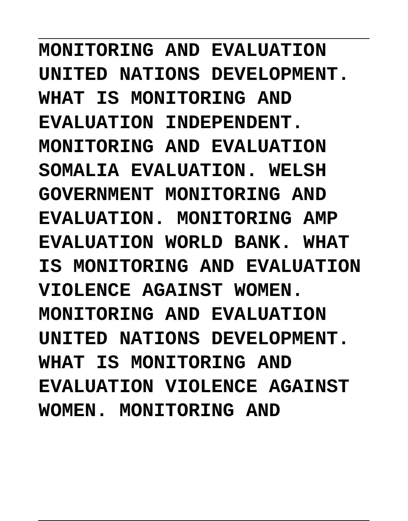**MONITORING AND EVALUATION UNITED NATIONS DEVELOPMENT. WHAT IS MONITORING AND EVALUATION INDEPENDENT. MONITORING AND EVALUATION** SOMALIA EVALUATION. WELSH **GOVERNMENT MONITORING AND EVALUATION. MONITORING AMP EVALUATION WORLD BANK. WHAT IS MONITORING AND EVALUATION VIOLENCE AGAINST WOMEN. MONITORING AND EVALUATION UNITED NATIONS DEVELOPMENT. WHAT IS MONITORING AND EVALUATION VIOLENCE AGAINST** WOMEN. MONITORING AND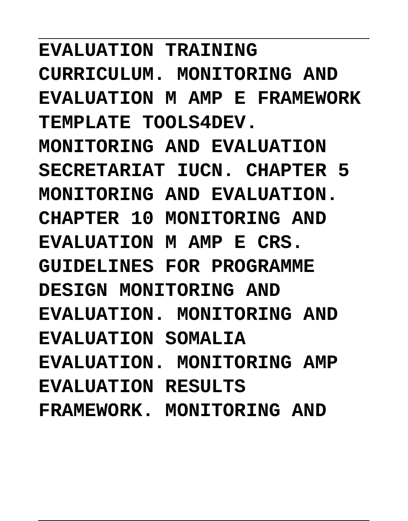**EVALUATION TRAINING CURRICULUM. MONITORING AND EVALUATION M AMP E FRAMEWORK TEMPLATE TOOLS4DEV. MONITORING AND EVALUATION** SECRETARIAT IUCN. CHAPTER 5 MONITORING AND EVALUATION. **CHAPTER 10 MONITORING AND EVALUATION M AMP E CRS. GUIDELINES FOR PROGRAMME DESIGN MONITORING AND EVALUATION. MONITORING AND EVALUATION SOMALIA EVALUATION. MONITORING AMP EVALUATION RESULTS FRAMEWORK. MONITORING AND**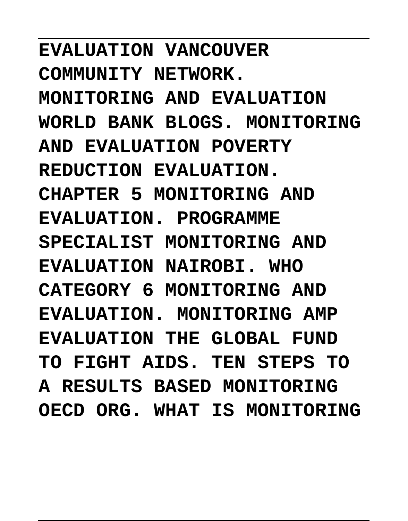**EVALUATION VANCOUVER COMMUNITY NETWORK. MONITORING AND EVALUATION WORLD BANK BLOGS. MONITORING AND EVALUATION POVERTY REDUCTION EVALUATION. CHAPTER 5 MONITORING AND EVALUATION. PROGRAMME SPECIALIST MONITORING AND EVALUATION NAIROBI. WHO CATEGORY 6 MONITORING AND EVALUATION. MONITORING AMP EVALUATION THE GLOBAL FUND TO FIGHT AIDS. TEN STEPS TO A RESULTS BASED MONITORING OECD ORG. WHAT IS MONITORING**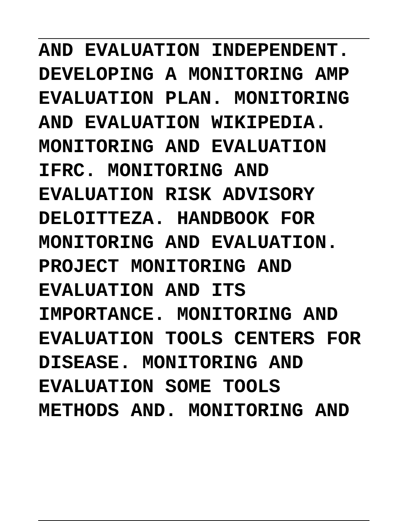**AND EVALUATION INDEPENDENT. DEVELOPING A MONITORING AMP EVALUATION PLAN. MONITORING AND EVALUATION WIKIPEDIA. MONITORING AND EVALUATION IFRC. MONITORING AND EVALUATION RISK ADVISORY DELOITTEZA. HANDBOOK FOR** MONITORING AND EVALUATION. **PROJECT MONITORING AND EVALUATION AND ITS IMPORTANCE. MONITORING AND EVALUATION TOOLS CENTERS FOR DISEASE. MONITORING AND EVALUATION SOME TOOLS METHODS AND. MONITORING AND**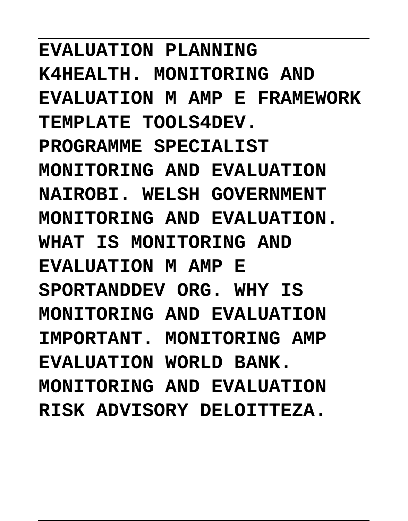**EVALUATION PLANNING K4HEALTH. MONITORING AND EVALUATION M AMP E FRAMEWORK TEMPLATE TOOLS4DEV. PROGRAMME SPECIALIST MONITORING AND EVALUATION NAIROBI. WELSH GOVERNMENT MONITORING AND EVALUATION.** WHAT IS MONITORING AND **EVALUATION M AMP E SPORTANDDEV ORG. WHY IS MONITORING AND EVALUATION IMPORTANT. MONITORING AMP EVALUATION WORLD BANK. MONITORING AND EVALUATION RISK ADVISORY DELOITTEZA.**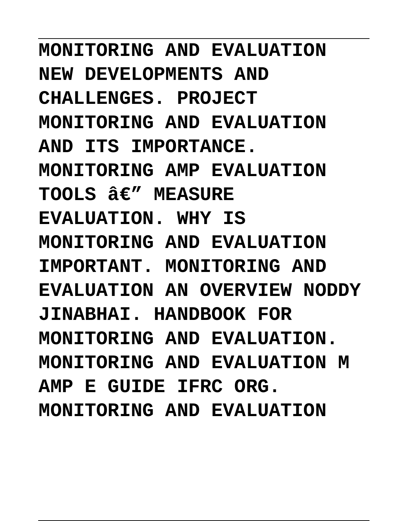**MONITORING AND EVALUATION NEW DEVELOPMENTS AND CHALLENGES. PROJECT MONITORING AND EVALUATION AND ITS IMPORTANCE. MONITORING AMP EVALUATION** TOOLS  $A \in \mathcal{U}$  MEASURE **EVALUATION. WHY IS MONITORING AND EVALUATION IMPORTANT. MONITORING AND EVALUATION AN OVERVIEW NODDY JINABHAI. HANDBOOK FOR** MONITORING AND EVALUATION. **MONITORING AND EVALUATION M AMP E GUIDE IFRC ORG. MONITORING AND EVALUATION**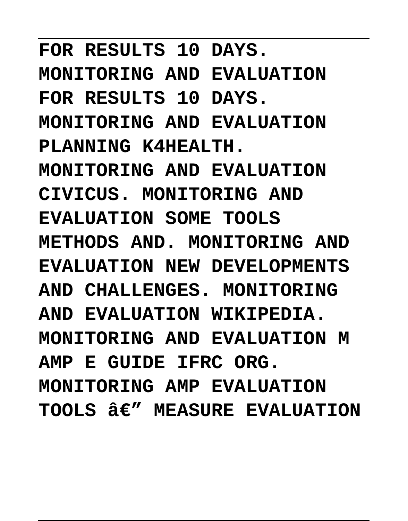**FOR RESULTS 10 DAYS. MONITORING AND EVALUATION FOR RESULTS 10 DAYS. MONITORING AND EVALUATION PLANNING K4HEALTH. MONITORING AND EVALUATION CIVICUS. MONITORING AND EVALUATION SOME TOOLS METHODS AND. MONITORING AND EVALUATION NEW DEVELOPMENTS AND CHALLENGES. MONITORING AND EVALUATION WIKIPEDIA. MONITORING AND EVALUATION M AMP E GUIDE IFRC ORG. MONITORING AMP EVALUATION TOOLS — MEASURE EVALUATION**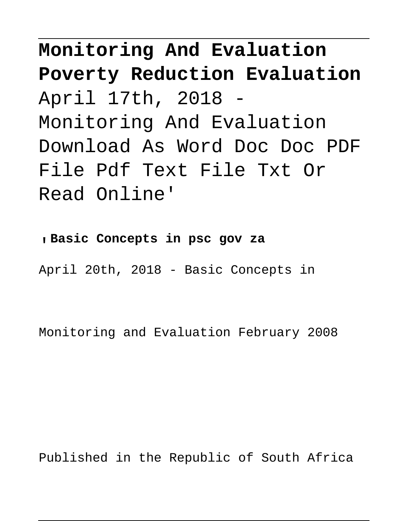**Monitoring And Evaluation Poverty Reduction Evaluation** April 17th, 2018 - Monitoring And Evaluation Download As Word Doc Doc PDF File Pdf Text File Txt Or Read Online'

'**Basic Concepts in psc gov za** April 20th, 2018 - Basic Concepts in

Monitoring and Evaluation February 2008

Published in the Republic of South Africa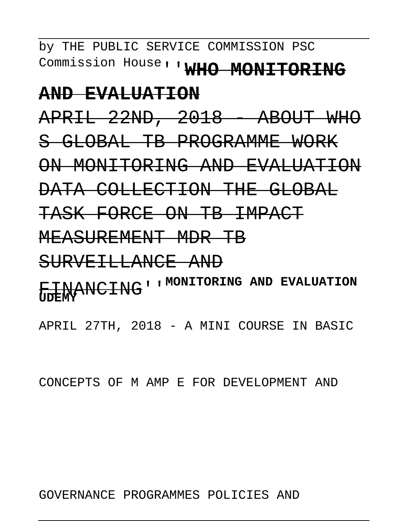by THE PUBLIC SERVICE COMMISSION PSC Commission House''**WHO MONITORING**

#### **AND EVALUATION**

APRIL 22ND, 2018 - ABOUT WHO S GLOBAL TB PROGRAMME WORK ON MONITORING AND EVALUATION DATA COLLECTION THE GLOBAL TASK FORCE ON TB IMPACT

MEASUREMENT MDR TB

SURVEILLANCE AND

FINANCING''**MONITORING AND EVALUATION UDEMY**

APRIL 27TH, 2018 - A MINI COURSE IN BASIC

CONCEPTS OF M AMP E FOR DEVELOPMENT AND

GOVERNANCE PROGRAMMES POLICIES AND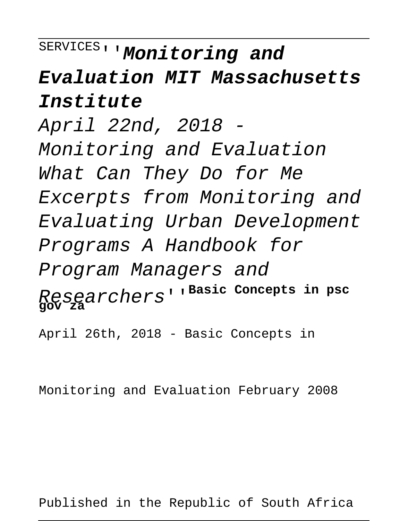# SERVICES''**Monitoring and**

## **Evaluation MIT Massachusetts Institute**

April 22nd, 2018 - Monitoring and Evaluation What Can They Do for Me Excerpts from Monitoring and Evaluating Urban Development Programs A Handbook for Program Managers and Researchers''**Basic Concepts in psc gov za**

April 26th, 2018 - Basic Concepts in

Monitoring and Evaluation February 2008

Published in the Republic of South Africa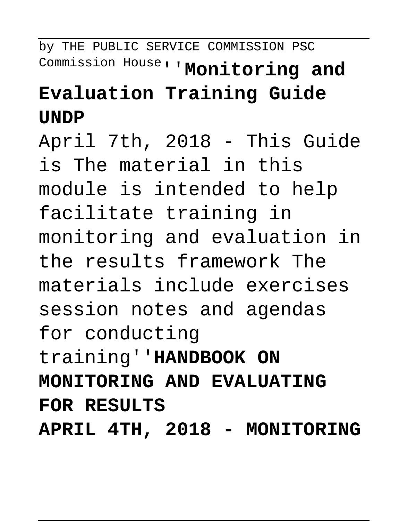by THE PUBLIC SERVICE COMMISSION PSC Commission House''**Monitoring and Evaluation Training Guide UNDP**

April 7th, 2018 - This Guide is The material in this module is intended to help facilitate training in monitoring and evaluation in the results framework The materials include exercises session notes and agendas for conducting training''**HANDBOOK ON MONITORING AND EVALUATING FOR RESULTS**

**APRIL 4TH, 2018 - MONITORING**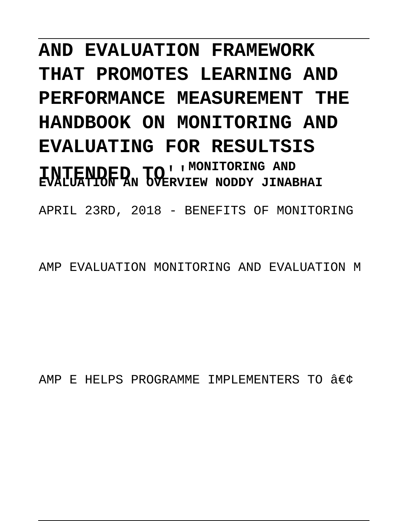# **AND EVALUATION FRAMEWORK THAT PROMOTES LEARNING AND PERFORMANCE MEASUREMENT THE HANDBOOK ON MONITORING AND EVALUATING FOR RESULTSIS INTENDED TO**''**MONITORING AND EVALUATION AN OVERVIEW NODDY JINABHAI**

APRIL 23RD, 2018 - BENEFITS OF MONITORING

AMP EVALUATION MONITORING AND EVALUATION M

AMP E HELPS PROGRAMME IMPLEMENTERS TO  $\hat{a}\in\hat{c}$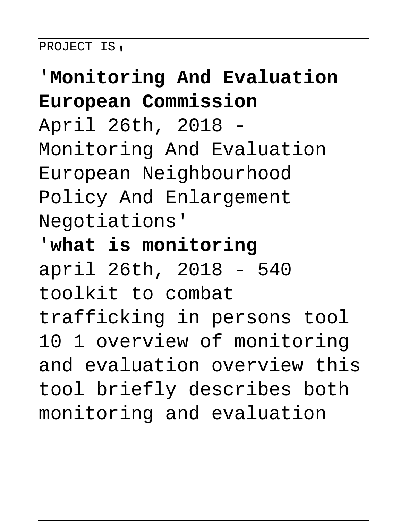#### PROJECT IS,

## '**Monitoring And Evaluation European Commission**

April 26th, 2018 - Monitoring And Evaluation European Neighbourhood Policy And Enlargement Negotiations'

'**what is monitoring** april 26th, 2018 - 540 toolkit to combat trafficking in persons tool 10 1 overview of monitoring and evaluation overview this tool briefly describes both monitoring and evaluation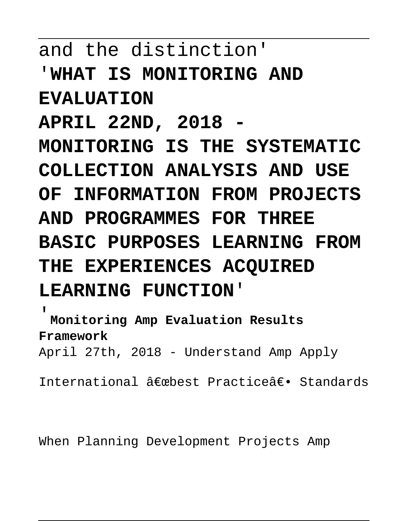## and the distinction' '**WHAT IS MONITORING AND EVALUATION APRIL 22ND, 2018 - MONITORING IS THE SYSTEMATIC COLLECTION ANALYSIS AND USE OF INFORMATION FROM PROJECTS AND PROGRAMMES FOR THREE BASIC PURPOSES LEARNING FROM THE EXPERIENCES ACQUIRED LEARNING FUNCTION**'

'**Monitoring Amp Evaluation Results Framework** April 27th, 2018 - Understand Amp Apply

International â€mbest Practice― Standards

When Planning Development Projects Amp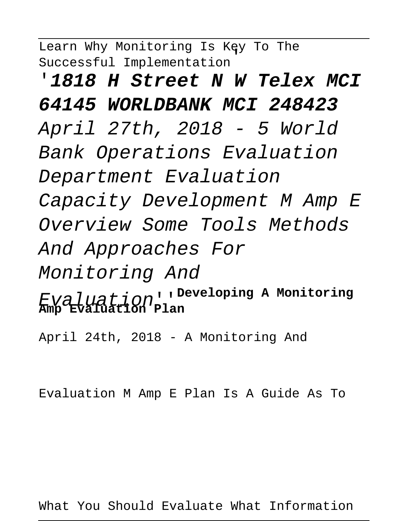Learn Why Monitoring Is Key To The Successful Implementation'

'**1818 H Street N W Telex MCI 64145 WORLDBANK MCI 248423** April 27th, 2018 - 5 World Bank Operations Evaluation Department Evaluation Capacity Development M Amp E Overview Some Tools Methods And Approaches For Monitoring And Evaluation''**Developing A Monitoring Amp Evaluation Plan**

April 24th, 2018 - A Monitoring And

Evaluation M Amp E Plan Is A Guide As To

What You Should Evaluate What Information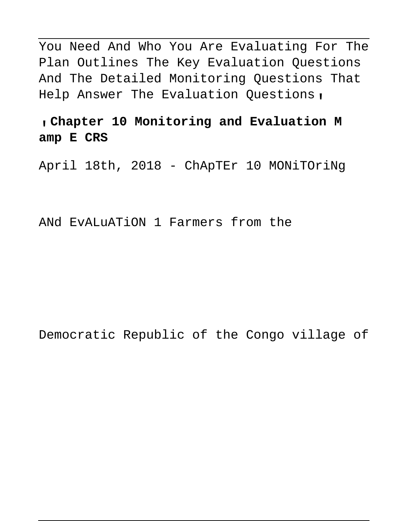You Need And Who You Are Evaluating For The Plan Outlines The Key Evaluation Questions And The Detailed Monitoring Questions That Help Answer The Evaluation Questions,

#### '**Chapter 10 Monitoring and Evaluation M amp E CRS**

April 18th, 2018 - ChApTEr 10 MONiTOriNg

ANd EvALuATiON 1 Farmers from the

Democratic Republic of the Congo village of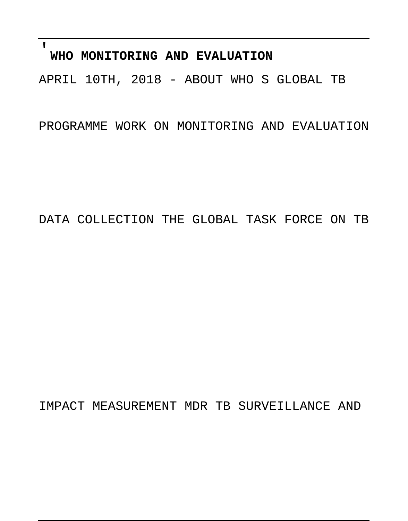### '**WHO MONITORING AND EVALUATION**

APRIL 10TH, 2018 - ABOUT WHO S GLOBAL TB

PROGRAMME WORK ON MONITORING AND EVALUATION

DATA COLLECTION THE GLOBAL TASK FORCE ON TB

IMPACT MEASUREMENT MDR TB SURVEILLANCE AND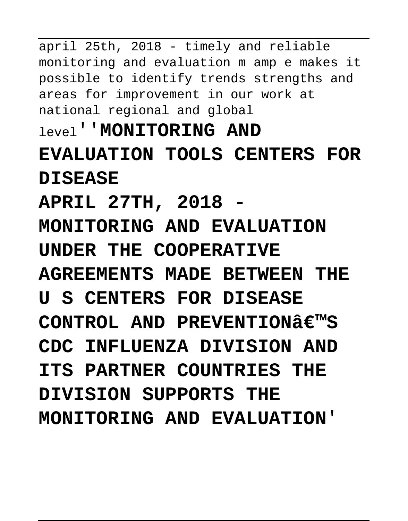april 25th, 2018 - timely and reliable monitoring and evaluation m amp e makes it possible to identify trends strengths and areas for improvement in our work at national regional and global level''**MONITORING AND EVALUATION TOOLS CENTERS FOR DISEASE APRIL 27TH, 2018 - MONITORING AND EVALUATION UNDER THE COOPERATIVE AGREEMENTS MADE BETWEEN THE U S CENTERS FOR DISEASE CONTROL AND PREVENTIONS CDC INFLUENZA DIVISION AND ITS PARTNER COUNTRIES THE DIVISION SUPPORTS THE MONITORING AND EVALUATION**'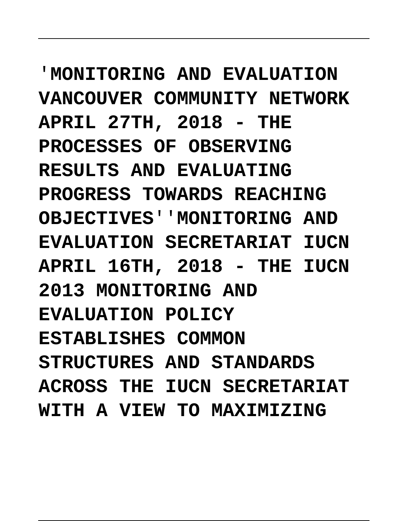'**MONITORING AND EVALUATION VANCOUVER COMMUNITY NETWORK APRIL 27TH, 2018 - THE PROCESSES OF OBSERVING** RESULT.TS AND EVALUATING **PROGRESS TOWARDS REACHING OBJECTIVES**''**MONITORING AND EVALUATION SECRETARIAT IUCN APRIL 16TH, 2018 - THE IUCN 2013 MONITORING AND EVALUATION POLICY ESTABLISHES COMMON STRUCTURES AND STANDARDS ACROSS THE IUCN SECRETARIAT WITH A VIEW TO MAXIMIZING**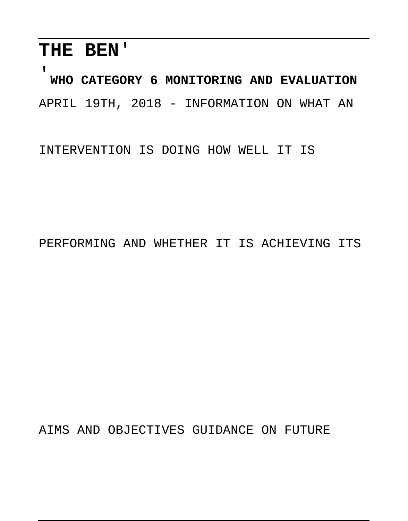### **THE BEN**'

'**WHO CATEGORY 6 MONITORING AND EVALUATION** APRIL 19TH, 2018 - INFORMATION ON WHAT AN

INTERVENTION IS DOING HOW WELL IT IS

PERFORMING AND WHETHER IT IS ACHIEVING ITS

AIMS AND OBJECTIVES GUIDANCE ON FUTURE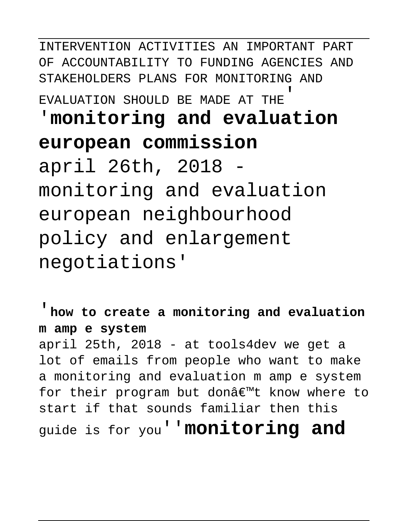INTERVENTION ACTIVITIES AN IMPORTANT PART OF ACCOUNTABILITY TO FUNDING AGENCIES AND STAKEHOLDERS PLANS FOR MONITORING AND EVALUATION SHOULD BE MADE AT THE'

# '**monitoring and evaluation european commission**

april 26th, 2018 monitoring and evaluation european neighbourhood policy and enlargement negotiations'

'**how to create a monitoring and evaluation m amp e system**

april 25th, 2018 - at tools4dev we get a lot of emails from people who want to make a monitoring and evaluation m amp e system for their program but donâ€<sup>m</sup>t know where to start if that sounds familiar then this guide is for you''**monitoring and**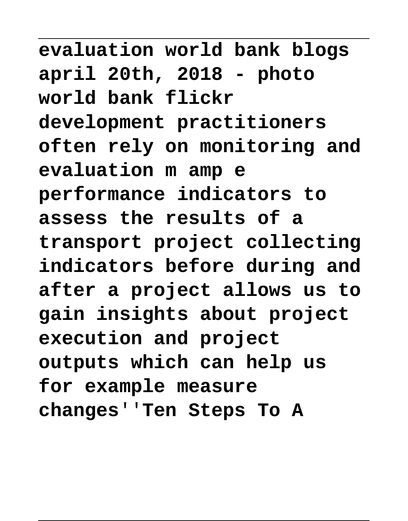**evaluation world bank blogs april 20th, 2018 - photo world bank flickr development practitioners often rely on monitoring and evaluation m amp e performance indicators to assess the results of a transport project collecting indicators before during and after a project allows us to gain insights about project execution and project outputs which can help us for example measure changes**''**Ten Steps To A**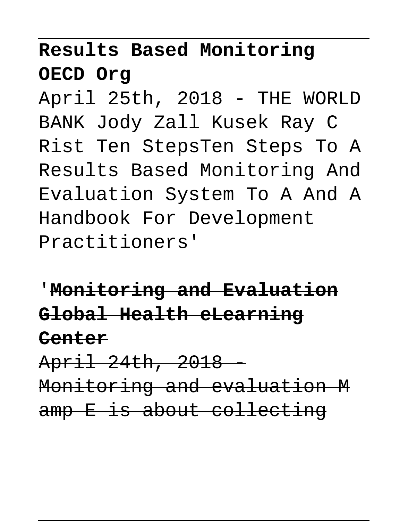## **Results Based Monitoring OECD Org**

April 25th, 2018 - THE WORLD BANK Jody Zall Kusek Ray C Rist Ten StepsTen Steps To A Results Based Monitoring And Evaluation System To A And A Handbook For Development Practitioners'

'**Monitoring and Evaluation Global Health eLearning Center** April 24th, 2018 -

Monitoring and evaluation M amp E is about collecting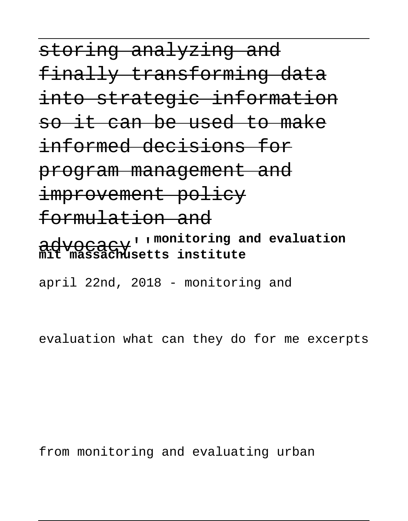storing analyzing and finally transforming data into strategic information so it can be used to make informed decisions for program management and improvement policy formulation and advocacy''**monitoring and evaluation mit massachusetts institute** april 22nd, 2018 - monitoring and

evaluation what can they do for me excerpts

from monitoring and evaluating urban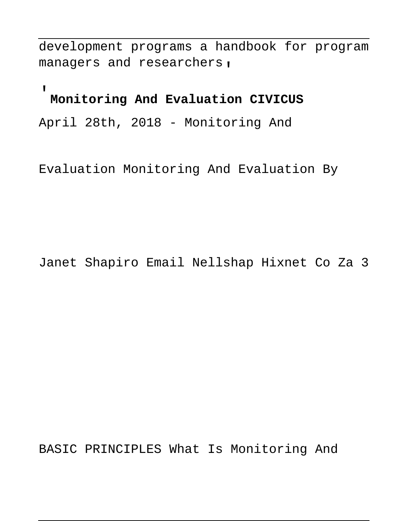development programs a handbook for program managers and researchers,

### '**Monitoring And Evaluation CIVICUS**

April 28th, 2018 - Monitoring And

Evaluation Monitoring And Evaluation By

Janet Shapiro Email Nellshap Hixnet Co Za 3

BASIC PRINCIPLES What Is Monitoring And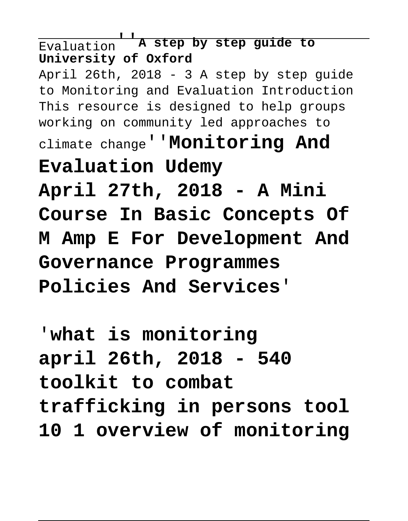Evaluation''**A step by step guide to University of Oxford** April 26th, 2018 - 3 A step by step guide to Monitoring and Evaluation Introduction This resource is designed to help groups working on community led approaches to climate change''**Monitoring And Evaluation Udemy April 27th, 2018 - A Mini Course In Basic Concepts Of M Amp E For Development And Governance Programmes Policies And Services**'

'**what is monitoring april 26th, 2018 - 540 toolkit to combat trafficking in persons tool 10 1 overview of monitoring**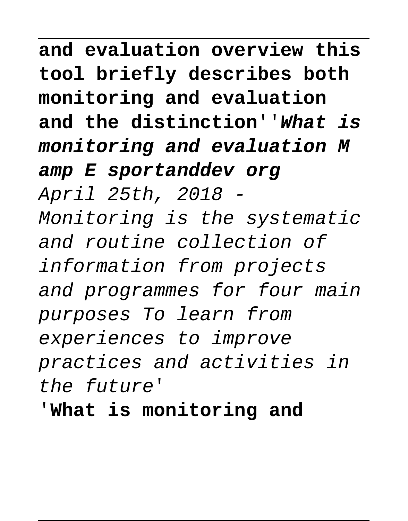**and evaluation overview this tool briefly describes both monitoring and evaluation and the distinction**''**What is monitoring and evaluation M amp E sportanddev org** April 25th, 2018 - Monitoring is the systematic and routine collection of information from projects and programmes for four main purposes To learn from experiences to improve practices and activities in the future'

'**What is monitoring and**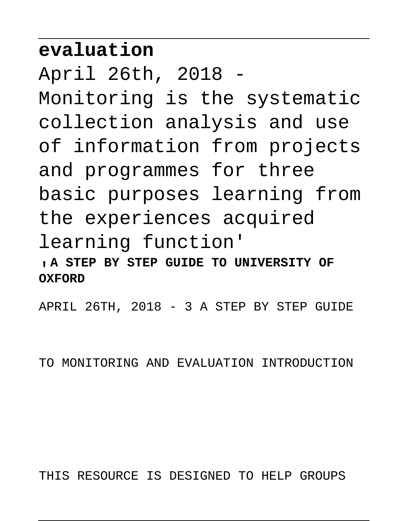## **evaluation**

April 26th, 2018 - Monitoring is the systematic collection analysis and use of information from projects and programmes for three basic purposes learning from the experiences acquired learning function' '**A STEP BY STEP GUIDE TO UNIVERSITY OF OXFORD**

APRIL 26TH, 2018 - 3 A STEP BY STEP GUIDE

TO MONITORING AND EVALUATION INTRODUCTION

THIS RESOURCE IS DESIGNED TO HELP GROUPS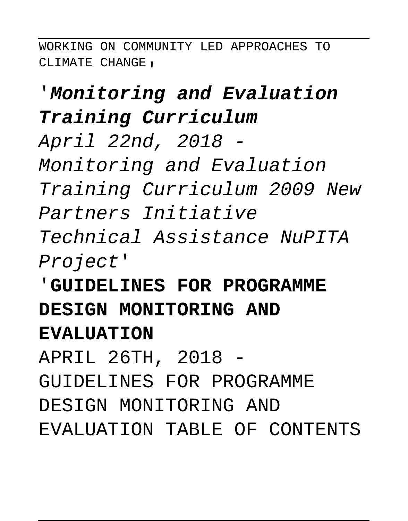WORKING ON COMMUNITY LED APPROACHES TO CLIMATE CHANGE.

## '**Monitoring and Evaluation Training Curriculum**

April 22nd, 2018 -

Monitoring and Evaluation Training Curriculum 2009 New Partners Initiative Technical Assistance NuPITA Project'

## '**GUIDELINES FOR PROGRAMME DESIGN MONITORING AND EVALUATION**

APRIL 26TH, 2018 -

GUIDELINES FOR PROGRAMME

DESIGN MONITORING AND

EVALUATION TABLE OF CONTENTS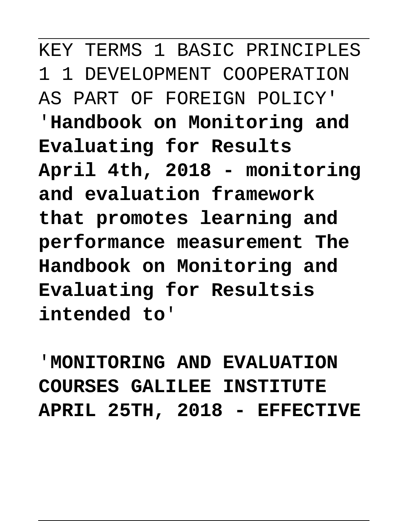KEY TERMS 1 BASIC PRINCIPLES 1 1 DEVELOPMENT COOPERATION AS PART OF FOREIGN POLICY' '**Handbook on Monitoring and Evaluating for Results April 4th, 2018 - monitoring and evaluation framework that promotes learning and performance measurement The Handbook on Monitoring and Evaluating for Resultsis intended to**'

'**MONITORING AND EVALUATION COURSES GALILEE INSTITUTE APRIL 25TH, 2018 - EFFECTIVE**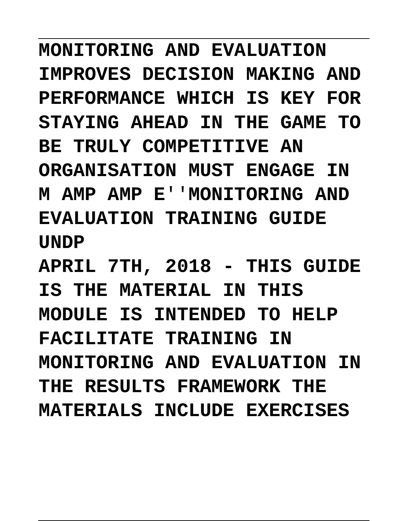**MONITORING AND EVALUATION IMPROVES DECISION MAKING AND PERFORMANCE WHICH IS KEY FOR STAYING AHEAD IN THE GAME TO BE TRULY COMPETITIVE AN ORGANISATION MUST ENGAGE IN M AMP AMP E**''**MONITORING AND EVALUATION TRAINING GUIDE UNDP APRIL 7TH, 2018 - THIS GUIDE IS THE MATERIAL IN THIS MODULE IS INTENDED TO HELP**

**FACILITATE TRAINING IN MONITORING AND EVALUATION IN THE RESULTS FRAMEWORK THE MATERIALS INCLUDE EXERCISES**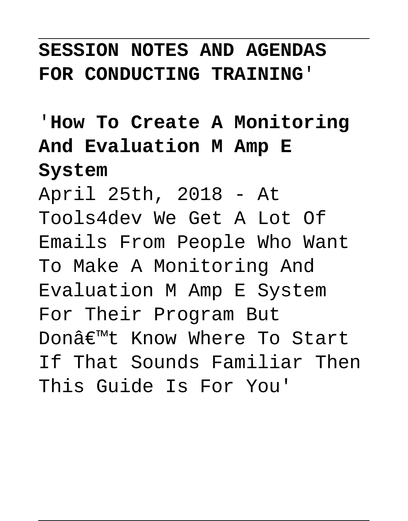#### **SESSION NOTES AND AGENDAS FOR CONDUCTING TRAINING**'

## '**How To Create A Monitoring And Evaluation M Amp E System**

April 25th, 2018 - At Tools4dev We Get A Lot Of Emails From People Who Want To Make A Monitoring And Evaluation M Amp E System For Their Program But Donâ€<sup>m</sup>t Know Where To Start If That Sounds Familiar Then This Guide Is For You'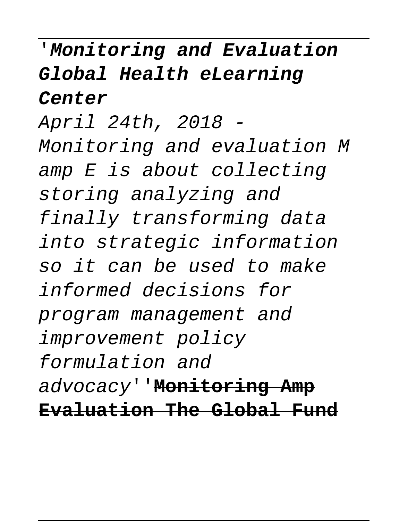## '**Monitoring and Evaluation Global Health eLearning Center**

April 24th, 2018 - Monitoring and evaluation M amp E is about collecting storing analyzing and finally transforming data into strategic information so it can be used to make informed decisions for program management and improvement policy formulation and advocacy''**Monitoring Amp Evaluation The Global Fund**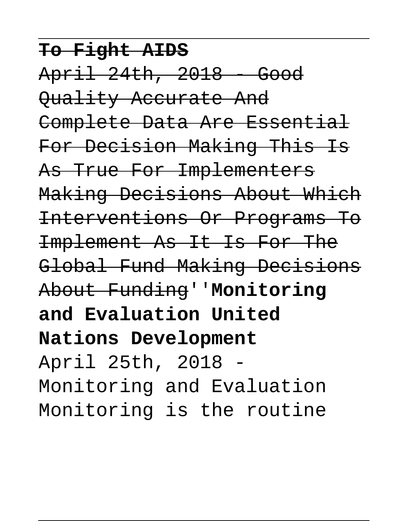**To Fight AIDS** April 24th, 2018 - Good Quality Accurate And Complete Data Are Essential For Decision Making This Is As True For Implementers Making Decisions About Which Interventions Or Programs To Implement As It Is For The Global Fund Making Decisions About Funding''**Monitoring and Evaluation United Nations Development** April 25th, 2018 - Monitoring and Evaluation Monitoring is the routine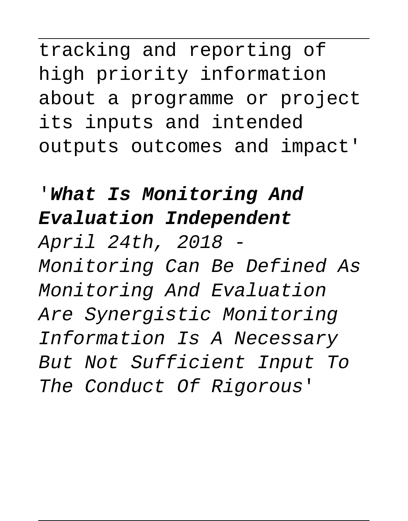tracking and reporting of high priority information about a programme or project its inputs and intended outputs outcomes and impact'

# '**What Is Monitoring And Evaluation Independent** April 24th, 2018 - Monitoring Can Be Defined As Monitoring And Evaluation Are Synergistic Monitoring Information Is A Necessary

But Not Sufficient Input To The Conduct Of Rigorous'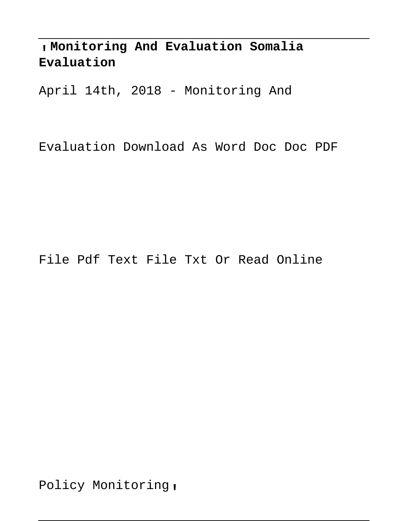'**Monitoring And Evaluation Somalia Evaluation**

April 14th, 2018 - Monitoring And

Evaluation Download As Word Doc Doc PDF

#### File Pdf Text File Txt Or Read Online

Policy Monitoring,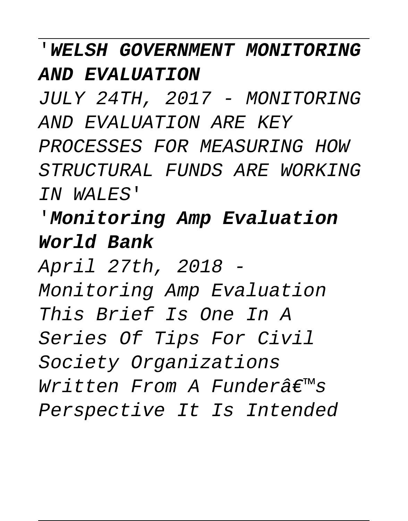'**WELSH GOVERNMENT MONITORING AND EVALUATION**

JULY 24TH, 2017 - MONITORING AND EVALUATION ARE KEY PROCESSES FOR MEASURING HOW STRUCTURAL FUNDS ARE WORKING IN WALES'

'**Monitoring Amp Evaluation World Bank**

April 27th, 2018 - Monitoring Amp Evaluation This Brief Is One In A Series Of Tips For Civil Society Organizations  $Writeen$  From A Funder $\hat{\pi} \in \mathbb{R}^m$ s Perspective It Is Intended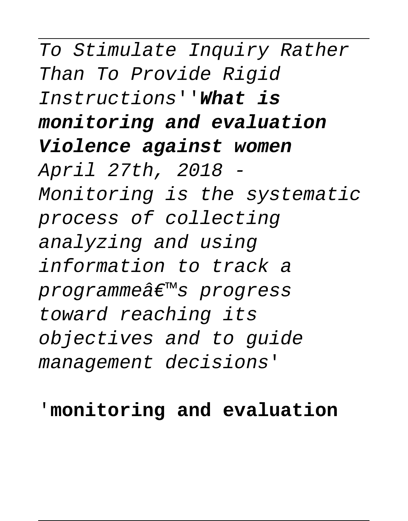# To Stimulate Inquiry Rather Than To Provide Rigid Instructions''**What is monitoring and evaluation Violence against women**

April 27th, 2018 - Monitoring is the systematic process of collecting analyzing and using information to track a programme's progress toward reaching its objectives and to guide management decisions'

#### '**monitoring and evaluation**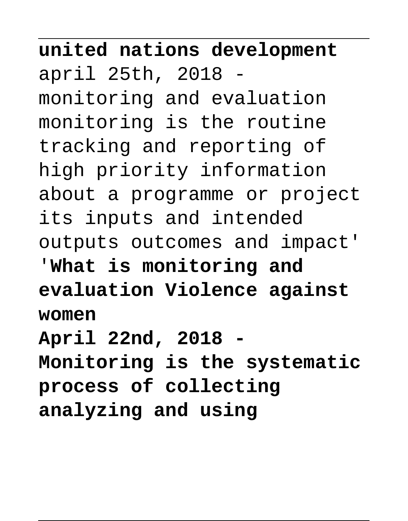**united nations development** april 25th, 2018 monitoring and evaluation monitoring is the routine tracking and reporting of high priority information about a programme or project its inputs and intended outputs outcomes and impact' '**What is monitoring and evaluation Violence against women April 22nd, 2018 - Monitoring is the systematic**

**process of collecting analyzing and using**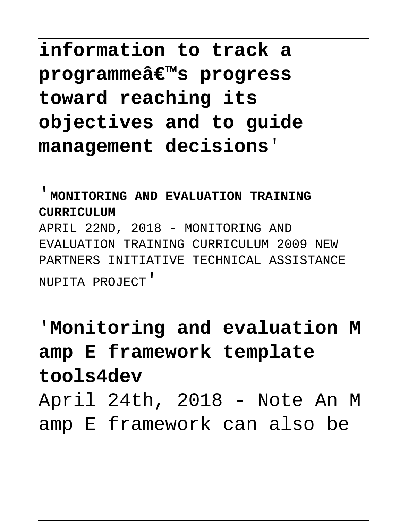## **information to track a programmeâ€<sup>™</sup>s progress toward reaching its objectives and to guide management decisions**'

'**MONITORING AND EVALUATION TRAINING CURRICULUM** APRIL 22ND, 2018 - MONITORING AND EVALUATION TRAINING CURRICULUM 2009 NEW PARTNERS INITIATIVE TECHNICAL ASSISTANCE

NUPITA PROJECT'

## '**Monitoring and evaluation M amp E framework template tools4dev** April 24th, 2018 - Note An M amp E framework can also be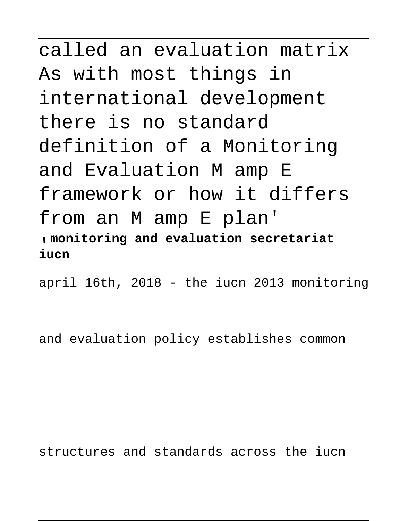called an evaluation matrix As with most things in international development there is no standard definition of a Monitoring and Evaluation M amp E framework or how it differs from an M amp E plan' '**monitoring and evaluation secretariat iucn**

april 16th, 2018 - the iucn 2013 monitoring

and evaluation policy establishes common

structures and standards across the iucn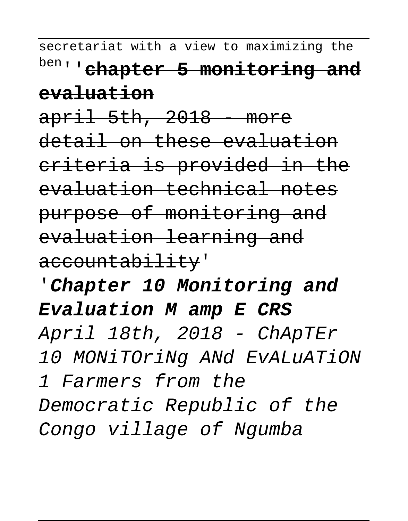secretariat with a view to maximizing the ben''**chapter 5 monitoring and evaluation**

 $apri1$  5th, 2018 - more detail on these evaluation criteria is provided in the evaluation technical notes purpose of monitoring and evaluation learning and accountability'

'**Chapter 10 Monitoring and Evaluation M amp E CRS** April 18th, 2018 - ChApTEr 10 MONiTOriNg ANd EvALuATiON 1 Farmers from the Democratic Republic of the Congo village of Ngumba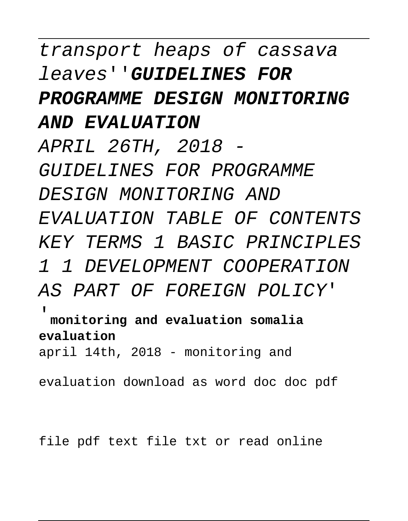## transport heaps of cassava leaves''**GUIDELINES FOR PROGRAMME DESIGN MONITORING AND EVALUATION** APRIL 26TH, 2018 - GUIDELINES FOR PROGRAMME

DESIGN MONITORING AND EVALUATION TABLE OF CONTENTS KEY TERMS 1 BASIC PRINCIPLES 1 1 DEVELOPMENT COOPERATION AS PART OF FOREIGN POLICY'

'**monitoring and evaluation somalia evaluation**

april 14th, 2018 - monitoring and

evaluation download as word doc doc pdf

file pdf text file txt or read online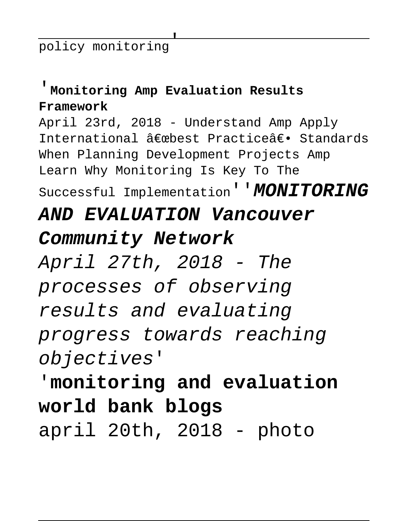policy monitoring'

#### '**Monitoring Amp Evaluation Results Framework**

April 23rd, 2018 - Understand Amp Apply International  $\hat{a} \in \mathbb{R}$ phest Practice $\hat{a} \in \mathbb{R}$  Standards When Planning Development Projects Amp Learn Why Monitoring Is Key To The Successful Implementation''**MONITORING**

#### **AND EVALUATION Vancouver**

#### **Community Network**

April 27th, 2018 - The processes of observing results and evaluating progress towards reaching objectives'

# '**monitoring and evaluation world bank blogs** april 20th, 2018 - photo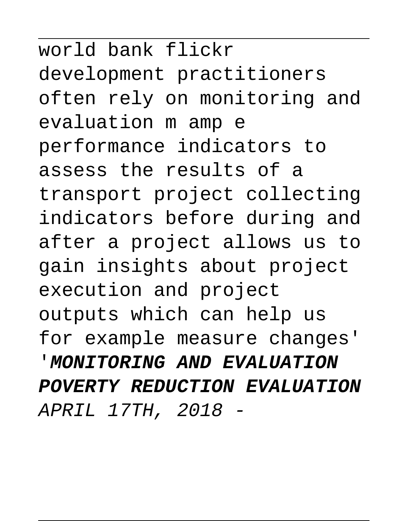world bank flickr development practitioners often rely on monitoring and evaluation m amp e performance indicators to assess the results of a transport project collecting indicators before during and after a project allows us to gain insights about project execution and project outputs which can help us for example measure changes' '**MONITORING AND EVALUATION POVERTY REDUCTION EVALUATION** APRIL 17TH, 2018 -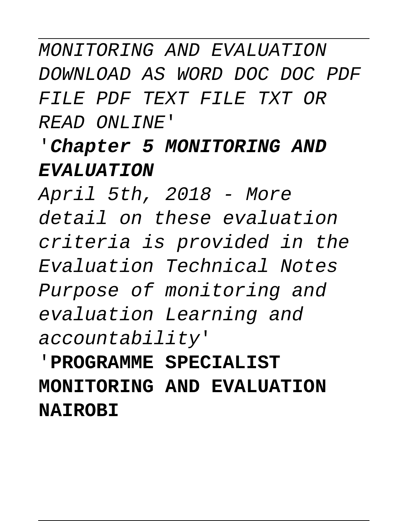## MONITORING AND EVALUATION DOWNLOAD AS WORD DOC DOC PDF FILE PDF TEXT FILE TXT OR READ ONLINE'

### '**Chapter 5 MONITORING AND EVALUATION**

April 5th, 2018 - More detail on these evaluation criteria is provided in the Evaluation Technical Notes Purpose of monitoring and evaluation Learning and accountability'

'**PROGRAMME SPECIALIST MONITORING AND EVALUATION NAIROBI**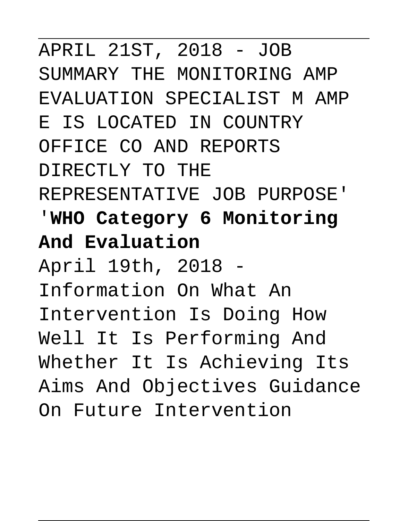APRIL 21ST, 2018 - JOB SUMMARY THE MONITORING AMP EVALUATION SPECIALIST M AMP E IS LOCATED IN COUNTRY OFFICE CO AND REPORTS DIRECTLY TO THE REPRESENTATIVE JOB PURPOSE' '**WHO Category 6 Monitoring And Evaluation** April 19th, 2018 - Information On What An Intervention Is Doing How Well It Is Performing And Whether It Is Achieving Its Aims And Objectives Guidance On Future Intervention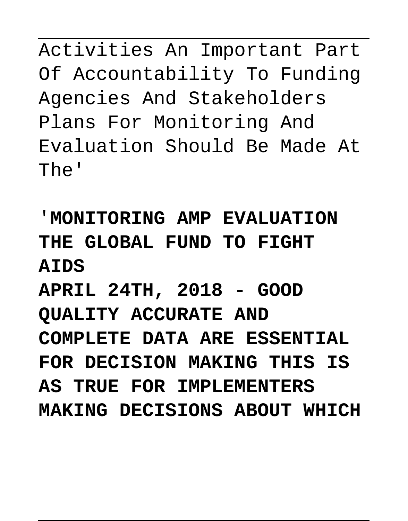Activities An Important Part Of Accountability To Funding Agencies And Stakeholders Plans For Monitoring And Evaluation Should Be Made At The'

'**MONITORING AMP EVALUATION THE GLOBAL FUND TO FIGHT AIDS APRIL 24TH, 2018 - GOOD QUALITY ACCURATE AND COMPLETE DATA ARE ESSENTIAL FOR DECISION MAKING THIS IS AS TRUE FOR IMPLEMENTERS MAKING DECISIONS ABOUT WHICH**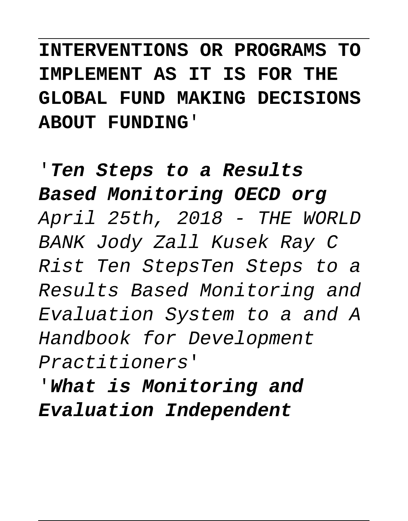**INTERVENTIONS OR PROGRAMS TO IMPLEMENT AS IT IS FOR THE GLOBAL FUND MAKING DECISIONS ABOUT FUNDING**'

'**Ten Steps to a Results Based Monitoring OECD org** April 25th, 2018 - THE WORLD BANK Jody Zall Kusek Ray C Rist Ten StepsTen Steps to a Results Based Monitoring and Evaluation System to a and A Handbook for Development Practitioners'

'**What is Monitoring and Evaluation Independent**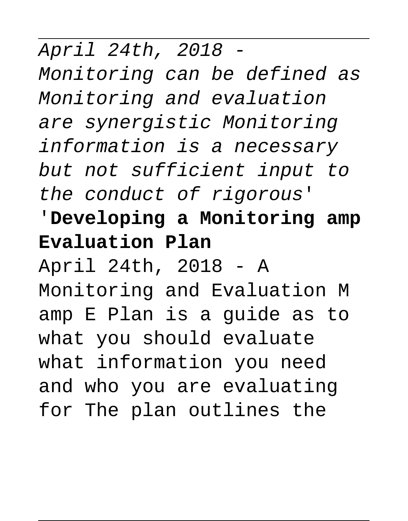April 24th, 2018 - Monitoring can be defined as Monitoring and evaluation are synergistic Monitoring information is a necessary but not sufficient input to the conduct of rigorous'

'**Developing a Monitoring amp Evaluation Plan**

April 24th, 2018 - A Monitoring and Evaluation M amp E Plan is a guide as to what you should evaluate what information you need and who you are evaluating for The plan outlines the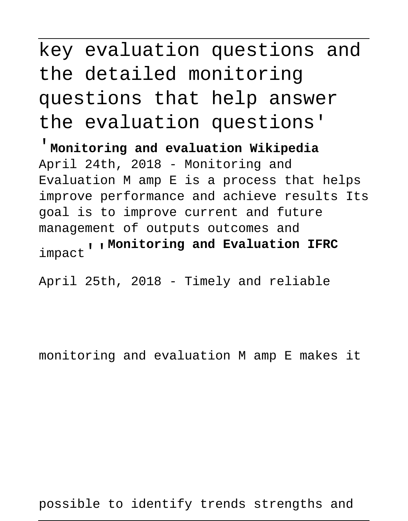## key evaluation questions and the detailed monitoring questions that help answer the evaluation questions'

'**Monitoring and evaluation Wikipedia** April 24th, 2018 - Monitoring and Evaluation M amp E is a process that helps improve performance and achieve results Its goal is to improve current and future management of outputs outcomes and impact''**Monitoring and Evaluation IFRC**

April 25th, 2018 - Timely and reliable

monitoring and evaluation M amp E makes it

possible to identify trends strengths and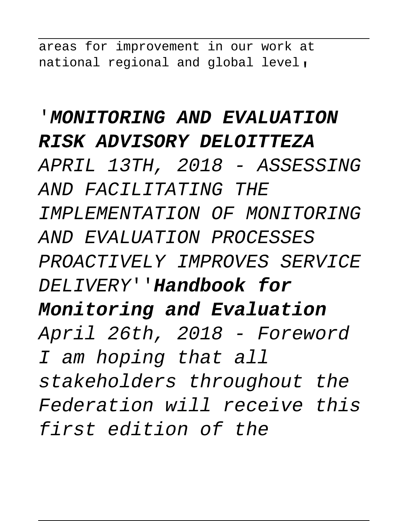areas for improvement in our work at national regional and global level,

#### '**MONITORING AND EVALUATION RISK ADVISORY DELOITTEZA**

APRIL 13TH, 2018 - ASSESSING AND FACILITATING THE IMPLEMENTATION OF MONITORING AND EVALUATION PROCESSES PROACTIVELY IMPROVES SERVICE DELIVERY''**Handbook for Monitoring and Evaluation** April 26th, 2018 - Foreword I am hoping that all stakeholders throughout the Federation will receive this first edition of the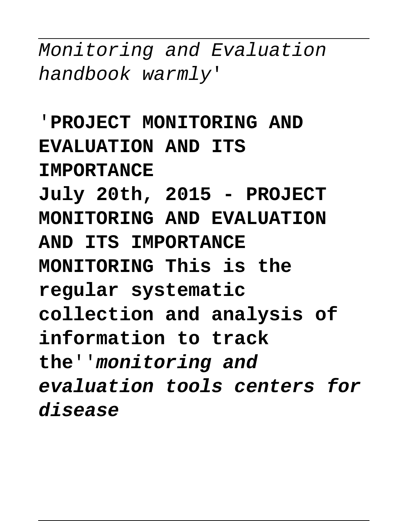Monitoring and Evaluation handbook warmly'

'**PROJECT MONITORING AND EVALUATION AND ITS IMPORTANCE July 20th, 2015 - PROJECT MONITORING AND EVALUATION AND ITS IMPORTANCE MONITORING This is the regular systematic collection and analysis of information to track the**''**monitoring and evaluation tools centers for disease**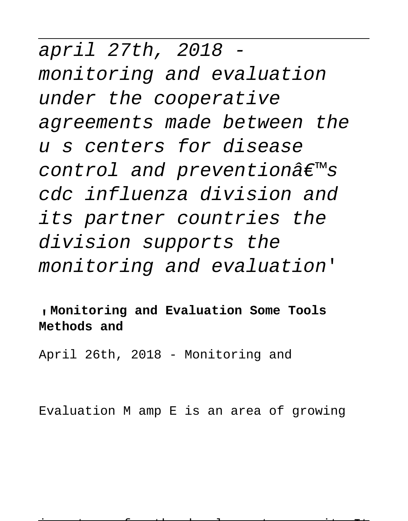april 27th, 2018 monitoring and evaluation under the cooperative agreements made between the u s centers for disease control and prevention $\hat{a}\in\mathbb{M}$ s cdc influenza division and its partner countries the division supports the monitoring and evaluation'

'**Monitoring and Evaluation Some Tools Methods and**

April 26th, 2018 - Monitoring and

Evaluation M amp E is an area of growing

importance for the development community It 59 / 76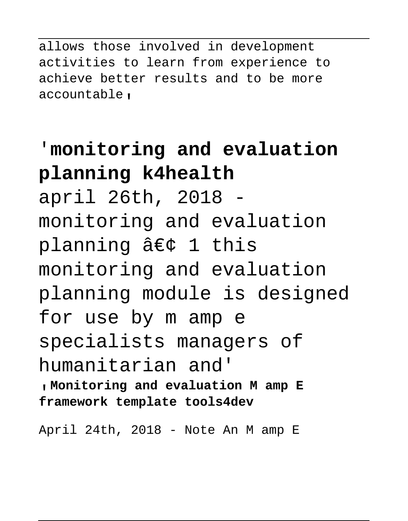allows those involved in development activities to learn from experience to achieve better results and to be more accountable,

### '**monitoring and evaluation planning k4health**

april 26th, 2018 monitoring and evaluation planning  $\hat{a}\in\zeta$  1 this monitoring and evaluation planning module is designed for use by m amp e specialists managers of humanitarian and' '**Monitoring and evaluation M amp E framework template tools4dev**

April 24th, 2018 - Note An M amp E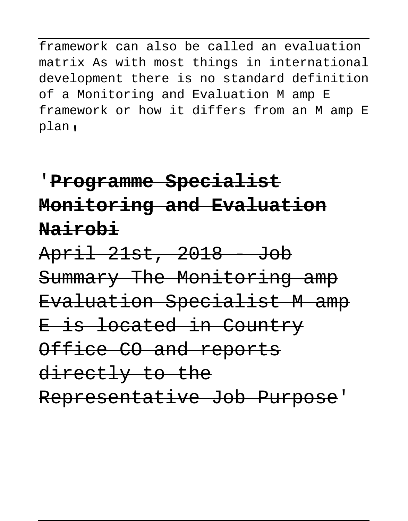framework can also be called an evaluation matrix As with most things in international development there is no standard definition of a Monitoring and Evaluation M amp E framework or how it differs from an M amp E plan'

## '**Programme Specialist Monitoring and Evaluation Nairobi**

April 21st, 2018 - Job Summary The Monitoring amp Evaluation Specialist M amp E is located in Country Office CO and reports directly to the Representative Job Purpose'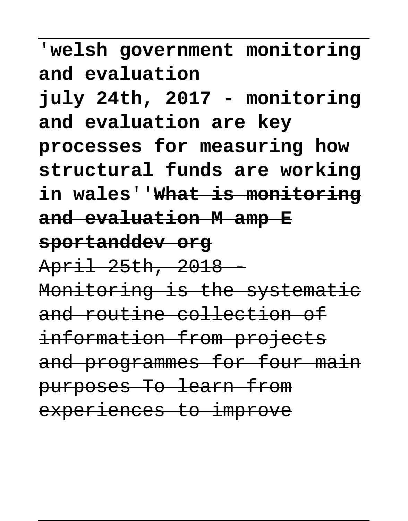'**welsh government monitoring and evaluation july 24th, 2017 - monitoring and evaluation are key processes for measuring how structural funds are working in wales**''**What is monitoring and evaluation M amp E sportanddev org** April 25th, 2018 - Monitoring is the systematic and routine collection of information from projects and programmes for four main purposes To learn from

experiences to improve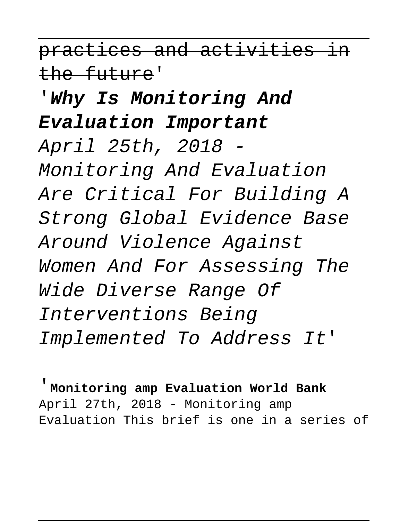practices and activities in the future'

### '**Why Is Monitoring And Evaluation Important**

April 25th, 2018 - Monitoring And Evaluation Are Critical For Building A Strong Global Evidence Base Around Violence Against Women And For Assessing The Wide Diverse Range Of Interventions Being Implemented To Address It'

'**Monitoring amp Evaluation World Bank** April 27th, 2018 - Monitoring amp Evaluation This brief is one in a series of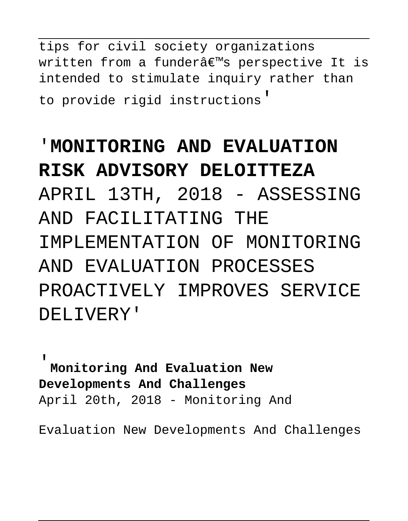tips for civil society organizations written from a funder's perspective It is intended to stimulate inquiry rather than to provide rigid instructions'

# '**MONITORING AND EVALUATION RISK ADVISORY DELOITTEZA** APRIL 13TH, 2018 - ASSESSING AND FACILITATING THE IMPLEMENTATION OF MONITORING AND EVALUATION PROCESSES PROACTIVELY IMPROVES SERVICE DELIVERY'

'**Monitoring And Evaluation New Developments And Challenges** April 20th, 2018 - Monitoring And

Evaluation New Developments And Challenges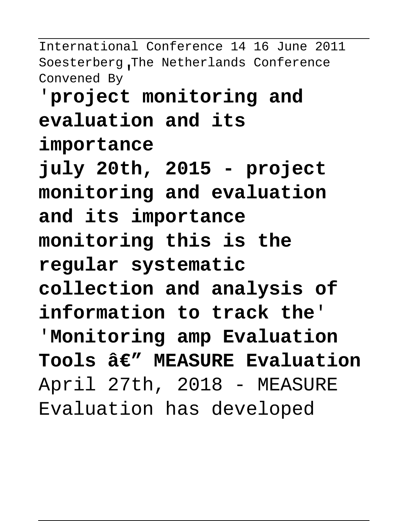International Conference 14 16 June 2011 Soesterberg The Netherlands Conference Convened By'

# '**project monitoring and evaluation and its**

**importance**

**july 20th, 2015 - project monitoring and evaluation and its importance monitoring this is the regular systematic collection and analysis of information to track the**' '**Monitoring amp Evaluation** Tools â€" MEASURE Evaluation April 27th, 2018 - MEASURE Evaluation has developed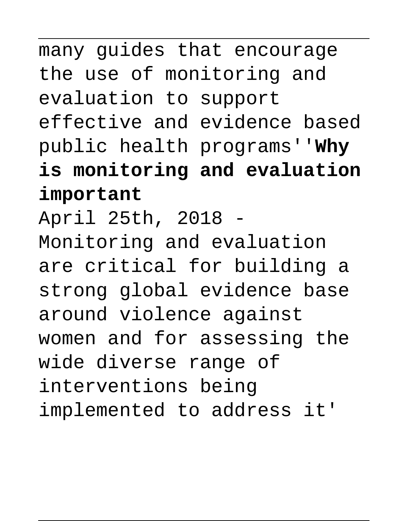# many guides that encourage the use of monitoring and evaluation to support effective and evidence based public health programs''**Why is monitoring and evaluation important** April 25th, 2018 - Monitoring and evaluation are critical for building a strong global evidence base around violence against women and for assessing the wide diverse range of interventions being implemented to address it'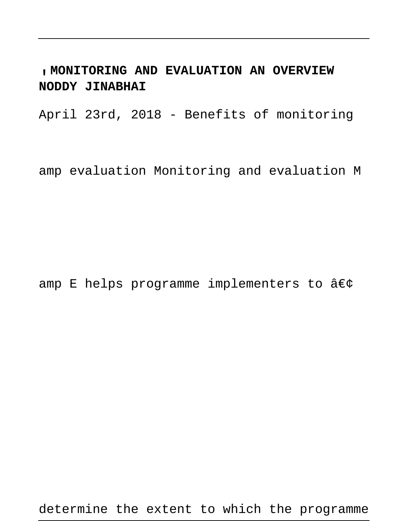'**MONITORING AND EVALUATION AN OVERVIEW NODDY JINABHAI**

April 23rd, 2018 - Benefits of monitoring

amp evaluation Monitoring and evaluation M

amp E helps programme implementers to  $\hat{a}\in\zeta$ 

determine the extent to which the programme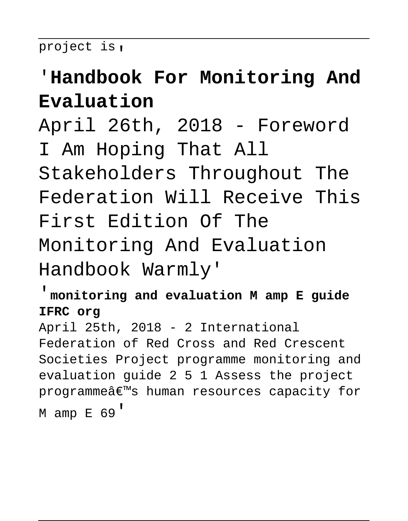project is,

### '**Handbook For Monitoring And Evaluation**

April 26th, 2018 - Foreword I Am Hoping That All Stakeholders Throughout The Federation Will Receive This First Edition Of The Monitoring And Evaluation Handbook Warmly'

'**monitoring and evaluation M amp E guide IFRC org**

April 25th, 2018 - 2 International Federation of Red Cross and Red Crescent Societies Project programme monitoring and evaluation guide 2 5 1 Assess the project programmeâ€<sup>™</sup>s human resources capacity for M amp E 69'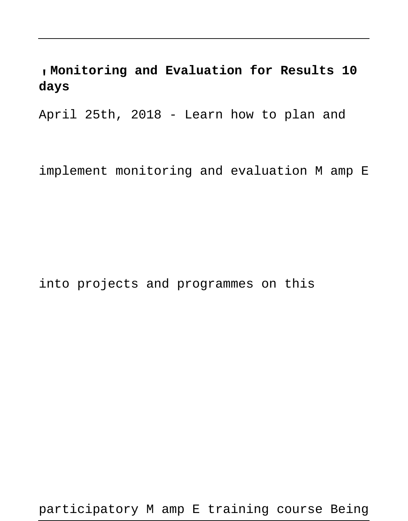#### '**Monitoring and Evaluation for Results 10 days**

April 25th, 2018 - Learn how to plan and

implement monitoring and evaluation M amp E

into projects and programmes on this

participatory M amp E training course Being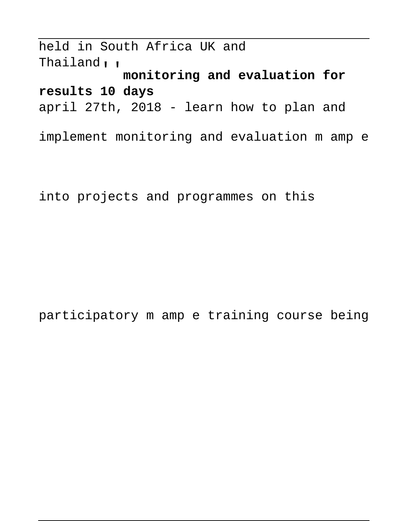held in South Africa UK and Thailand''**monitoring and evaluation for results 10 days** april 27th, 2018 - learn how to plan and implement monitoring and evaluation m amp e

into projects and programmes on this

participatory m amp e training course being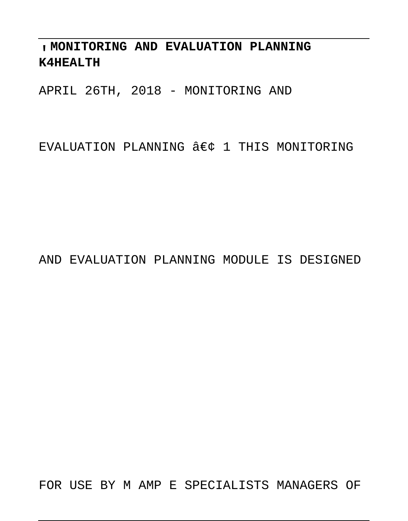'**MONITORING AND EVALUATION PLANNING K4HEALTH**

APRIL 26TH, 2018 - MONITORING AND

EVALUATION PLANNING  $\hat{a}\in c$  1 THIS MONITORING

AND EVALUATION PLANNING MODULE IS DESIGNED

FOR USE BY M AMP E SPECIALISTS MANAGERS OF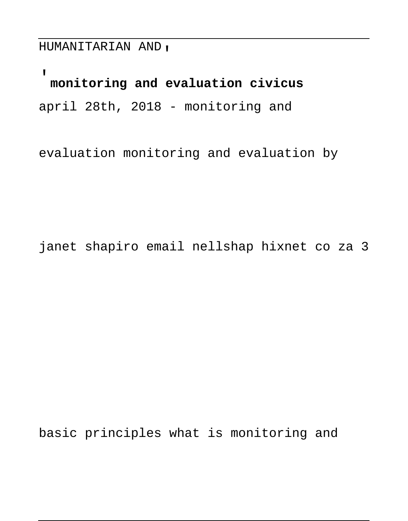HUMANITARIAN AND'

'**monitoring and evaluation civicus** april 28th, 2018 - monitoring and

evaluation monitoring and evaluation by

janet shapiro email nellshap hixnet co za 3

basic principles what is monitoring and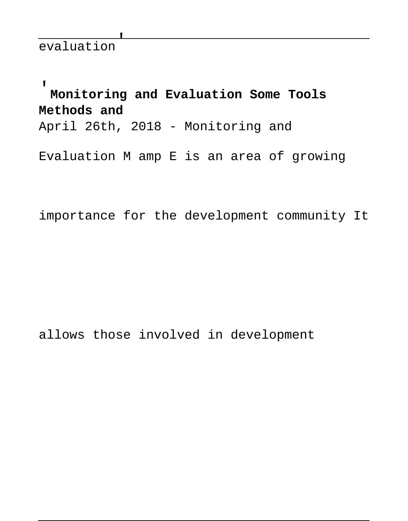'**Monitoring and Evaluation Some Tools Methods and** April 26th, 2018 - Monitoring and Evaluation M amp E is an area of growing

importance for the development community It

allows those involved in development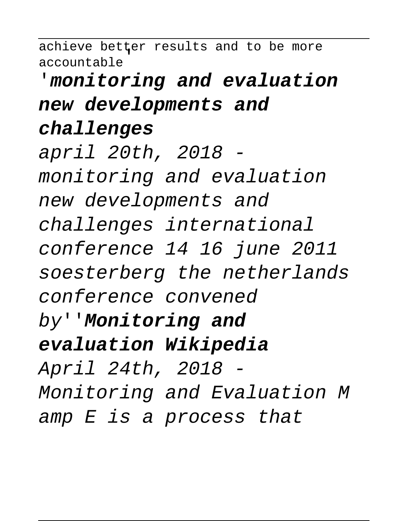achieve better results and to be more accountable' '**monitoring and evaluation new developments and challenges** april 20th, 2018 monitoring and evaluation new developments and challenges international conference 14 16 june 2011 soesterberg the netherlands conference convened by''**Monitoring and evaluation Wikipedia** April 24th, 2018 - Monitoring and Evaluation M amp E is a process that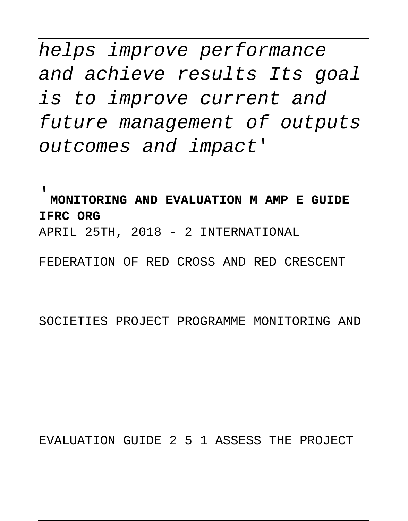helps improve performance and achieve results Its goal is to improve current and future management of outputs outcomes and impact'

'**MONITORING AND EVALUATION M AMP E GUIDE IFRC ORG** APRIL 25TH, 2018 - 2 INTERNATIONAL

FEDERATION OF RED CROSS AND RED CRESCENT

SOCIETIES PROJECT PROGRAMME MONITORING AND

EVALUATION GUIDE 2 5 1 ASSESS THE PROJECT